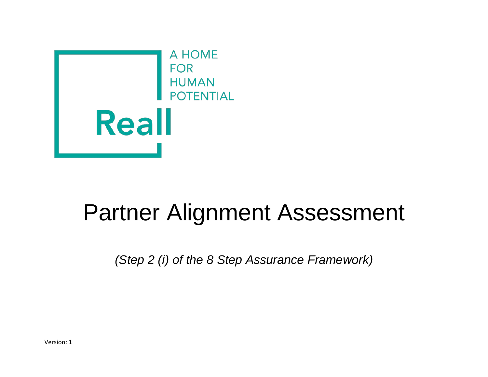

## Partner Alignment Assessment

*(Step 2 (i) of the 8 Step Assurance Framework)*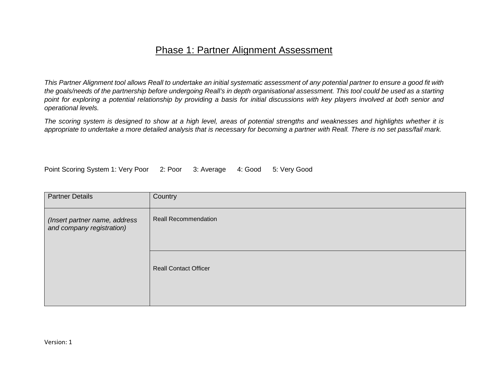## Phase 1: Partner Alignment Assessment

*This Partner Alignment tool allows Reall to undertake an initial systematic assessment of any potential partner to ensure a good fit with the goals/needs of the partnership before undergoing Reall's in depth organisational assessment. This tool could be used as a starting point for exploring a potential relationship by providing a basis for initial discussions with key players involved at both senior and operational levels.*

*The scoring system is designed to show at a high level, areas of potential strengths and weaknesses and highlights whether it is appropriate to undertake a more detailed analysis that is necessary for becoming a partner with Reall. There is no set pass/fail mark.*

Point Scoring System 1: Very Poor 2: Poor 3: Average 4: Good 5: Very Good

| <b>Partner Details</b>                                     | Country                      |
|------------------------------------------------------------|------------------------------|
| (Insert partner name, address<br>and company registration) | <b>Reall Recommendation</b>  |
|                                                            | <b>Reall Contact Officer</b> |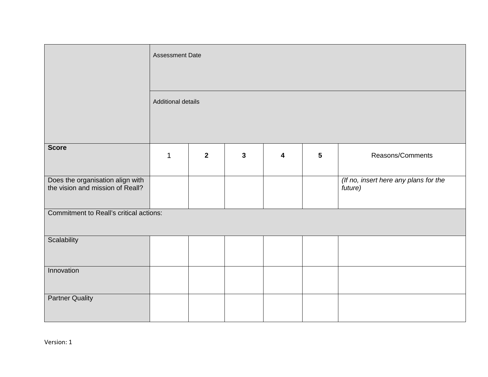|                                                                      | <b>Assessment Date</b>    |                |              |   |   |                                                  |  |
|----------------------------------------------------------------------|---------------------------|----------------|--------------|---|---|--------------------------------------------------|--|
|                                                                      |                           |                |              |   |   |                                                  |  |
|                                                                      | <b>Additional details</b> |                |              |   |   |                                                  |  |
| <b>Score</b>                                                         | $\mathbf{1}$              | $\overline{2}$ | $\mathbf{3}$ | 4 | 5 | Reasons/Comments                                 |  |
| Does the organisation align with<br>the vision and mission of Reall? |                           |                |              |   |   | (If no, insert here any plans for the<br>future) |  |
| Commitment to Reall's critical actions:                              |                           |                |              |   |   |                                                  |  |
| Scalability                                                          |                           |                |              |   |   |                                                  |  |
| Innovation                                                           |                           |                |              |   |   |                                                  |  |
| <b>Partner Quality</b>                                               |                           |                |              |   |   |                                                  |  |

Version: 1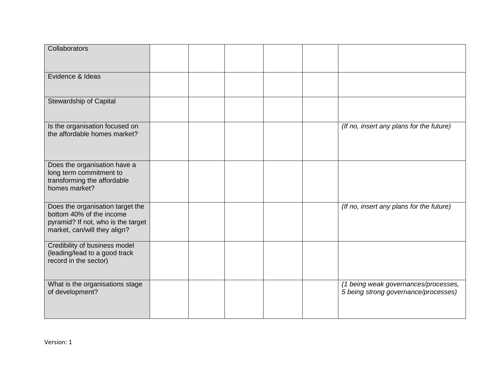| Collaborators                                                                                                                      |  |  |                                                                              |
|------------------------------------------------------------------------------------------------------------------------------------|--|--|------------------------------------------------------------------------------|
| Evidence & Ideas                                                                                                                   |  |  |                                                                              |
| Stewardship of Capital                                                                                                             |  |  |                                                                              |
| Is the organisation focused on<br>the affordable homes market?                                                                     |  |  | (If no, insert any plans for the future)                                     |
| Does the organisation have a<br>long term commitment to<br>transforming the affordable<br>homes market?                            |  |  |                                                                              |
| Does the organisation target the<br>bottom 40% of the income<br>pyramid? If not, who is the target<br>market, can/will they align? |  |  | (If no, insert any plans for the future)                                     |
| Credibility of business model<br>(leading/lead to a good track<br>record in the sector)                                            |  |  |                                                                              |
| What is the organisations stage<br>of development?                                                                                 |  |  | (1 being weak governances/processes,<br>5 being strong governance/processes) |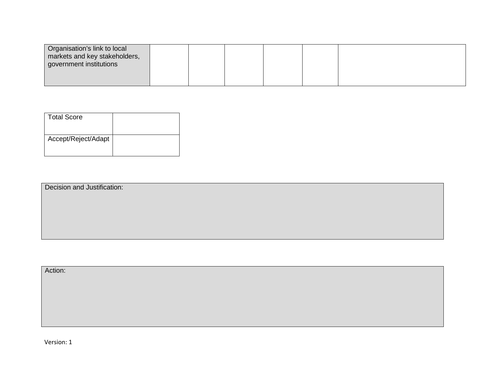| Organisation's link to local<br>markets and key stakeholders,<br>government institutions |  |  |  |
|------------------------------------------------------------------------------------------|--|--|--|
|                                                                                          |  |  |  |

| <b>Total Score</b>  |  |
|---------------------|--|
| Accept/Reject/Adapt |  |

Decision and Justification:

Action:

Version: 1